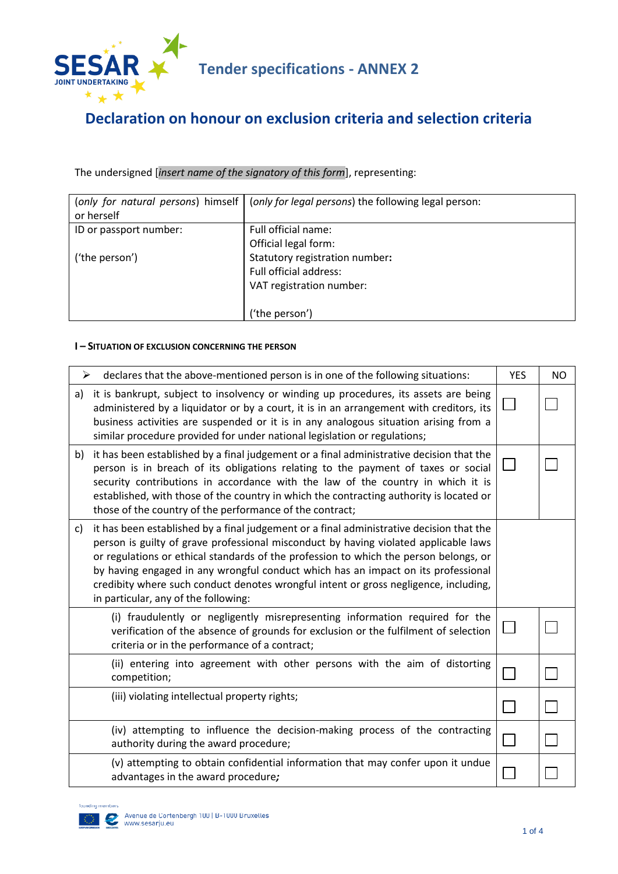

# **Tender specifications - ANNEX 2**

# **Declaration on honour on exclusion criteria and selection criteria**

The undersigned [*insert name of the signatory of this form*], representing:

| (only for natural persons) himself<br>or herself | (only for legal persons) the following legal person: |
|--------------------------------------------------|------------------------------------------------------|
| ID or passport number:                           | Full official name:                                  |
|                                                  | Official legal form:                                 |
| ('the person')                                   | Statutory registration number:                       |
|                                                  | Full official address:                               |
|                                                  | VAT registration number:                             |
|                                                  |                                                      |
|                                                  | ('the person')                                       |

#### **I – SITUATION OF EXCLUSION CONCERNING THE PERSON**

| ➤            | declares that the above-mentioned person is in one of the following situations:                                                                                                                                                                                                                                                                                                                                                                                                                | <b>YES</b> | <b>NO</b> |
|--------------|------------------------------------------------------------------------------------------------------------------------------------------------------------------------------------------------------------------------------------------------------------------------------------------------------------------------------------------------------------------------------------------------------------------------------------------------------------------------------------------------|------------|-----------|
| a)           | it is bankrupt, subject to insolvency or winding up procedures, its assets are being<br>administered by a liquidator or by a court, it is in an arrangement with creditors, its<br>business activities are suspended or it is in any analogous situation arising from a<br>similar procedure provided for under national legislation or regulations;                                                                                                                                           |            |           |
| b)           | it has been established by a final judgement or a final administrative decision that the<br>person is in breach of its obligations relating to the payment of taxes or social<br>security contributions in accordance with the law of the country in which it is<br>established, with those of the country in which the contracting authority is located or<br>those of the country of the performance of the contract;                                                                        |            |           |
| $\mathsf{C}$ | it has been established by a final judgement or a final administrative decision that the<br>person is guilty of grave professional misconduct by having violated applicable laws<br>or regulations or ethical standards of the profession to which the person belongs, or<br>by having engaged in any wrongful conduct which has an impact on its professional<br>credibity where such conduct denotes wrongful intent or gross negligence, including,<br>in particular, any of the following: |            |           |
|              | (i) fraudulently or negligently misrepresenting information required for the<br>verification of the absence of grounds for exclusion or the fulfilment of selection<br>criteria or in the performance of a contract;                                                                                                                                                                                                                                                                           |            |           |
|              | (ii) entering into agreement with other persons with the aim of distorting<br>competition;                                                                                                                                                                                                                                                                                                                                                                                                     |            |           |
|              | (iii) violating intellectual property rights;                                                                                                                                                                                                                                                                                                                                                                                                                                                  |            |           |
|              | (iv) attempting to influence the decision-making process of the contracting<br>authority during the award procedure;                                                                                                                                                                                                                                                                                                                                                                           |            |           |
|              | (v) attempting to obtain confidential information that may confer upon it undue<br>advantages in the award procedure;                                                                                                                                                                                                                                                                                                                                                                          |            |           |

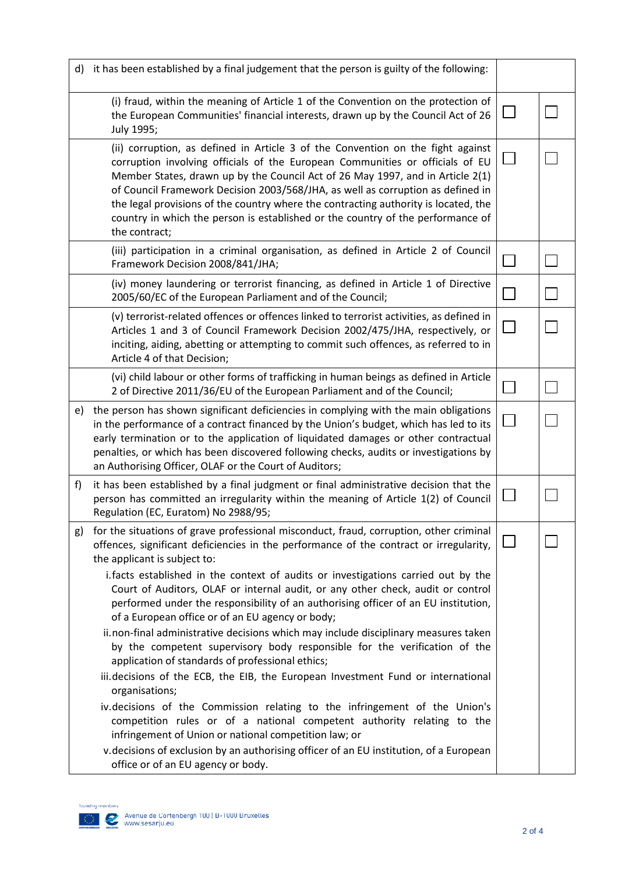|    | d) it has been established by a final judgement that the person is guilty of the following:                                                                                                                                                                                                                                                                                                                                                                                                                                                                                                                                                                                                                                                                                                                                                                                                                                                                                                                                                                                                                                                                                                                        |  |
|----|--------------------------------------------------------------------------------------------------------------------------------------------------------------------------------------------------------------------------------------------------------------------------------------------------------------------------------------------------------------------------------------------------------------------------------------------------------------------------------------------------------------------------------------------------------------------------------------------------------------------------------------------------------------------------------------------------------------------------------------------------------------------------------------------------------------------------------------------------------------------------------------------------------------------------------------------------------------------------------------------------------------------------------------------------------------------------------------------------------------------------------------------------------------------------------------------------------------------|--|
|    | (i) fraud, within the meaning of Article 1 of the Convention on the protection of<br>the European Communities' financial interests, drawn up by the Council Act of 26<br>July 1995;                                                                                                                                                                                                                                                                                                                                                                                                                                                                                                                                                                                                                                                                                                                                                                                                                                                                                                                                                                                                                                |  |
|    | (ii) corruption, as defined in Article 3 of the Convention on the fight against<br>corruption involving officials of the European Communities or officials of EU<br>Member States, drawn up by the Council Act of 26 May 1997, and in Article 2(1)<br>of Council Framework Decision 2003/568/JHA, as well as corruption as defined in<br>the legal provisions of the country where the contracting authority is located, the<br>country in which the person is established or the country of the performance of<br>the contract;                                                                                                                                                                                                                                                                                                                                                                                                                                                                                                                                                                                                                                                                                   |  |
|    | (iii) participation in a criminal organisation, as defined in Article 2 of Council<br>Framework Decision 2008/841/JHA;                                                                                                                                                                                                                                                                                                                                                                                                                                                                                                                                                                                                                                                                                                                                                                                                                                                                                                                                                                                                                                                                                             |  |
|    | (iv) money laundering or terrorist financing, as defined in Article 1 of Directive<br>2005/60/EC of the European Parliament and of the Council;                                                                                                                                                                                                                                                                                                                                                                                                                                                                                                                                                                                                                                                                                                                                                                                                                                                                                                                                                                                                                                                                    |  |
|    | (v) terrorist-related offences or offences linked to terrorist activities, as defined in<br>Articles 1 and 3 of Council Framework Decision 2002/475/JHA, respectively, or<br>inciting, aiding, abetting or attempting to commit such offences, as referred to in<br>Article 4 of that Decision;                                                                                                                                                                                                                                                                                                                                                                                                                                                                                                                                                                                                                                                                                                                                                                                                                                                                                                                    |  |
|    | (vi) child labour or other forms of trafficking in human beings as defined in Article<br>2 of Directive 2011/36/EU of the European Parliament and of the Council;                                                                                                                                                                                                                                                                                                                                                                                                                                                                                                                                                                                                                                                                                                                                                                                                                                                                                                                                                                                                                                                  |  |
| e) | the person has shown significant deficiencies in complying with the main obligations<br>in the performance of a contract financed by the Union's budget, which has led to its<br>early termination or to the application of liquidated damages or other contractual<br>penalties, or which has been discovered following checks, audits or investigations by<br>an Authorising Officer, OLAF or the Court of Auditors;                                                                                                                                                                                                                                                                                                                                                                                                                                                                                                                                                                                                                                                                                                                                                                                             |  |
| f) | it has been established by a final judgment or final administrative decision that the<br>person has committed an irregularity within the meaning of Article 1(2) of Council<br>Regulation (EC, Euratom) No 2988/95;                                                                                                                                                                                                                                                                                                                                                                                                                                                                                                                                                                                                                                                                                                                                                                                                                                                                                                                                                                                                |  |
| g) | for the situations of grave professional misconduct, fraud, corruption, other criminal<br>offences, significant deficiencies in the performance of the contract or irregularity,<br>the applicant is subject to:<br>i. facts established in the context of audits or investigations carried out by the<br>Court of Auditors, OLAF or internal audit, or any other check, audit or control<br>performed under the responsibility of an authorising officer of an EU institution,<br>of a European office or of an EU agency or body;<br>ii.non-final administrative decisions which may include disciplinary measures taken<br>by the competent supervisory body responsible for the verification of the<br>application of standards of professional ethics;<br>iii.decisions of the ECB, the EIB, the European Investment Fund or international<br>organisations;<br>iv.decisions of the Commission relating to the infringement of the Union's<br>competition rules or of a national competent authority relating to the<br>infringement of Union or national competition law; or<br>v.decisions of exclusion by an authorising officer of an EU institution, of a European<br>office or of an EU agency or body. |  |

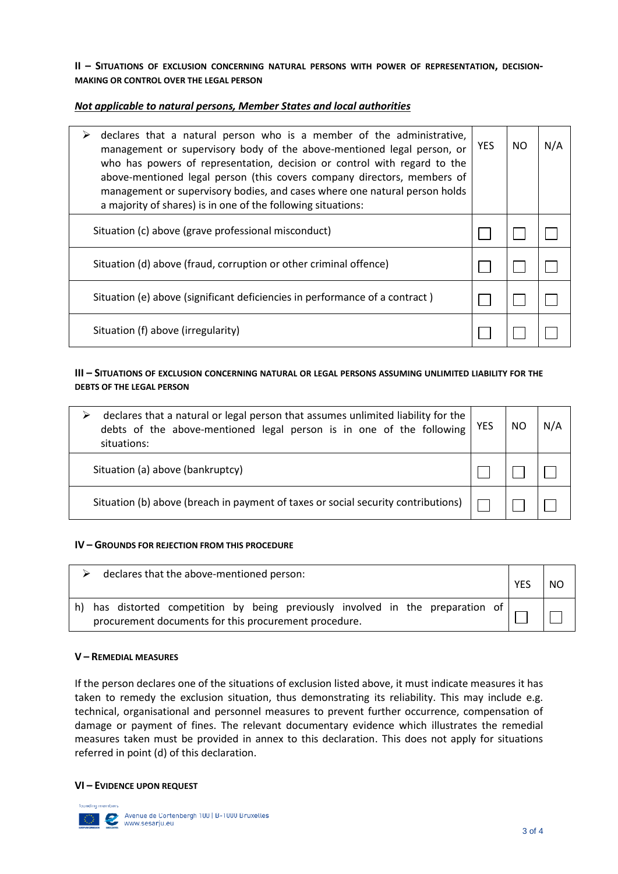#### **II – SITUATIONS OF EXCLUSION CONCERNING NATURAL PERSONS WITH POWER OF REPRESENTATION, DECISION-MAKING OR CONTROL OVER THE LEGAL PERSON**

## *Not applicable to natural persons, Member States and local authorities*

| declares that a natural person who is a member of the administrative,<br>management or supervisory body of the above-mentioned legal person, or<br>who has powers of representation, decision or control with regard to the<br>above-mentioned legal person (this covers company directors, members of<br>management or supervisory bodies, and cases where one natural person holds<br>a majority of shares) is in one of the following situations: | <b>YES</b> | NO. | N/A |
|------------------------------------------------------------------------------------------------------------------------------------------------------------------------------------------------------------------------------------------------------------------------------------------------------------------------------------------------------------------------------------------------------------------------------------------------------|------------|-----|-----|
| Situation (c) above (grave professional misconduct)                                                                                                                                                                                                                                                                                                                                                                                                  |            |     |     |
| Situation (d) above (fraud, corruption or other criminal offence)                                                                                                                                                                                                                                                                                                                                                                                    |            |     |     |
| Situation (e) above (significant deficiencies in performance of a contract)                                                                                                                                                                                                                                                                                                                                                                          |            |     |     |
| Situation (f) above (irregularity)                                                                                                                                                                                                                                                                                                                                                                                                                   |            |     |     |

### **III – SITUATIONS OF EXCLUSION CONCERNING NATURAL OR LEGAL PERSONS ASSUMING UNLIMITED LIABILITY FOR THE DEBTS OF THE LEGAL PERSON**

| declares that a natural or legal person that assumes unlimited liability for the<br>debts of the above-mentioned legal person is in one of the following<br>situations: | <b>YES</b> | NO | N/A |
|-------------------------------------------------------------------------------------------------------------------------------------------------------------------------|------------|----|-----|
| Situation (a) above (bankruptcy)                                                                                                                                        |            |    |     |
| Situation (b) above (breach in payment of taxes or social security contributions)                                                                                       |            |    |     |

#### **IV – GROUNDS FOR REJECTION FROM THIS PROCEDURE**

| declares that the above-mentioned person:                                                                                                | <b>YES</b> | NO. |
|------------------------------------------------------------------------------------------------------------------------------------------|------------|-----|
| h) has distorted competition by being previously involved in the preparation of<br>procurement documents for this procurement procedure. |            |     |

#### **V – REMEDIAL MEASURES**

If the person declares one of the situations of exclusion listed above, it must indicate measures it has taken to remedy the exclusion situation, thus demonstrating its reliability. This may include e.g. technical, organisational and personnel measures to prevent further occurrence, compensation of damage or payment of fines. The relevant documentary evidence which illustrates the remedial measures taken must be provided in annex to this declaration. This does not apply for situations referred in point (d) of this declaration.

#### **VI – EVIDENCE UPON REQUEST**

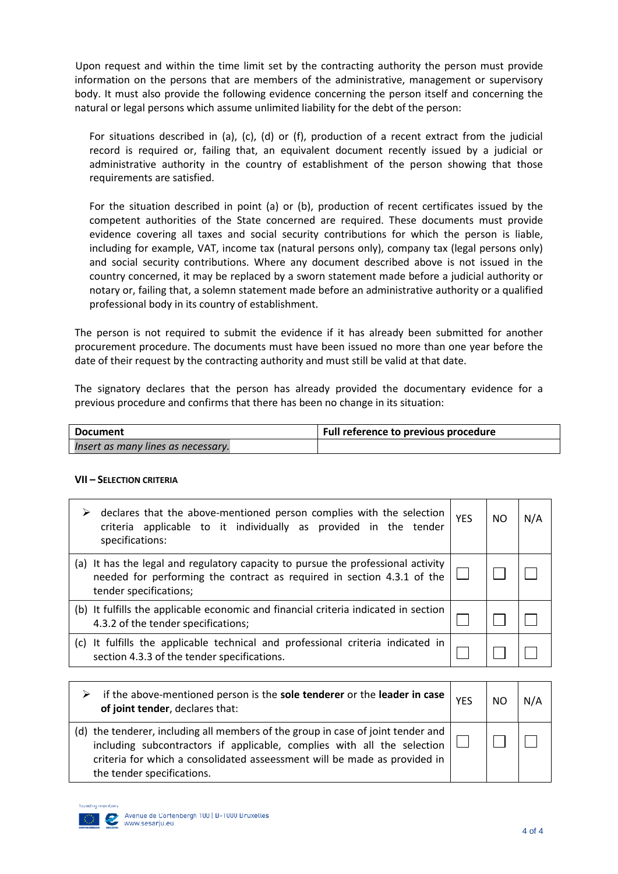Upon request and within the time limit set by the contracting authority the person must provide information on the persons that are members of the administrative, management or supervisory body. It must also provide the following evidence concerning the person itself and concerning the natural or legal persons which assume unlimited liability for the debt of the person:

For situations described in (a), (c), (d) or (f), production of a recent extract from the judicial record is required or, failing that, an equivalent document recently issued by a judicial or administrative authority in the country of establishment of the person showing that those requirements are satisfied.

For the situation described in point (a) or (b), production of recent certificates issued by the competent authorities of the State concerned are required. These documents must provide evidence covering all taxes and social security contributions for which the person is liable, including for example, VAT, income tax (natural persons only), company tax (legal persons only) and social security contributions. Where any document described above is not issued in the country concerned, it may be replaced by a sworn statement made before a judicial authority or notary or, failing that, a solemn statement made before an administrative authority or a qualified professional body in its country of establishment.

The person is not required to submit the evidence if it has already been submitted for another procurement procedure. The documents must have been issued no more than one year before the date of their request by the contracting authority and must still be valid at that date.

The signatory declares that the person has already provided the documentary evidence for a previous procedure and confirms that there has been no change in its situation:

| <b>Document</b>                    | Full reference to previous procedure |
|------------------------------------|--------------------------------------|
| Insert as many lines as necessary. |                                      |

#### **VII – SELECTION CRITERIA**

| ➤   | declares that the above-mentioned person complies with the selection<br>criteria applicable to it individually as provided in the tender<br>specifications:                          | <b>YFS</b> | NO. | N/A |
|-----|--------------------------------------------------------------------------------------------------------------------------------------------------------------------------------------|------------|-----|-----|
|     | (a) It has the legal and regulatory capacity to pursue the professional activity<br>needed for performing the contract as required in section 4.3.1 of the<br>tender specifications; |            |     |     |
|     | (b) It fulfills the applicable economic and financial criteria indicated in section<br>4.3.2 of the tender specifications;                                                           |            |     |     |
| (C) | It fulfills the applicable technical and professional criteria indicated in<br>section 4.3.3 of the tender specifications.                                                           |            |     |     |

| if the above-mentioned person is the <b>sole tenderer</b> or the <b>leader in case</b> $\vert$ $_{\text{YES}}$<br>of joint tender, declares that:                                                                                                                          | NO. | N/A |
|----------------------------------------------------------------------------------------------------------------------------------------------------------------------------------------------------------------------------------------------------------------------------|-----|-----|
| (d) the tenderer, including all members of the group in case of joint tender and $ $<br>including subcontractors if applicable, complies with all the selection<br>criteria for which a consolidated asseessment will be made as provided in<br>the tender specifications. |     |     |